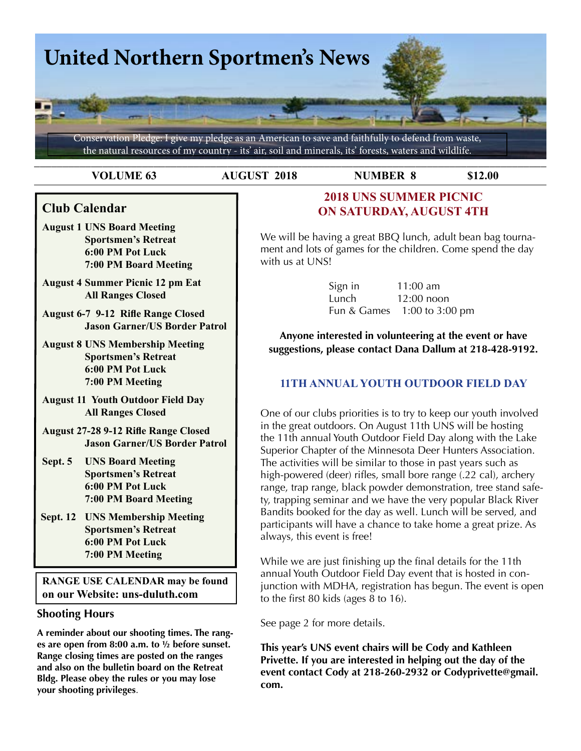

**VOLUME 63 AUGUST 2018 NUMBER 8 \$12.00**

# **Club Calendar**

- **August 1 UNS Board Meeting Sportsmen's Retreat 6:00 PM Pot Luck 7:00 PM Board Meeting**
- **August 4 Summer Picnic 12 pm Eat All Ranges Closed**
- **August 6-7 9-12 Rifle Range Closed Jason Garner/US Border Patrol**
- **August 8 UNS Membership Meeting Sportsmen's Retreat 6:00 PM Pot Luck 7:00 PM Meeting**
- **August 11 Youth Outdoor Field Day All Ranges Closed**
- **August 27-28 9-12 Rifle Range Closed Jason Garner/US Border Patrol**
- **Sept. 5 UNS Board Meeting Sportsmen's Retreat 6:00 PM Pot Luck 7:00 PM Board Meeting**
- **Sept. 12 UNS Membership Meeting Sportsmen's Retreat 6:00 PM Pot Luck 7:00 PM Meeting**

**RANGE USE CALENDAR may be found on our Website: uns-duluth.com**

### **Shooting Hours**

**A reminder about our shooting times. The ranges are open from 8:00 a.m. to ½ before sunset. Range closing times are posted on the ranges and also on the bulletin board on the Retreat Bldg. Please obey the rules or you may lose your shooting privileges**.

# **2018 UNS Summer Picnic ON SATURDAY, AUGUST 4TH**

We will be having a great BBQ lunch, adult bean bag tournament and lots of games for the children. Come spend the day with us at UNS!

| Sign in | 11:00 am                    |
|---------|-----------------------------|
| Lunch   | $12:00$ noon                |
|         | Fun & Games 1:00 to 3:00 pm |

**Anyone interested in volunteering at the event or have suggestions, please contact Dana Dallum at 218-428-9192.** 

# **11th ANNUAL YOUTH OUTDOOR FIELD DAY**

One of our clubs priorities is to try to keep our youth involved in the great outdoors. On August 11th UNS will be hosting the 11th annual Youth Outdoor Field Day along with the Lake Superior Chapter of the Minnesota Deer Hunters Association. The activities will be similar to those in past years such as high-powered (deer) rifles, small bore range (.22 cal), archery range, trap range, black powder demonstration, tree stand safety, trapping seminar and we have the very popular Black River Bandits booked for the day as well. Lunch will be served, and participants will have a chance to take home a great prize. As always, this event is free!

While we are just finishing up the final details for the 11th annual Youth Outdoor Field Day event that is hosted in conjunction with MDHA, registration has begun. The event is open to the first 80 kids (ages 8 to 16).

See page 2 for more details.

**This year's UNS event chairs will be Cody and Kathleen Privette. If you are interested in helping out the day of the event contact Cody at 218-260-2932 or Codyprivette@gmail. com.**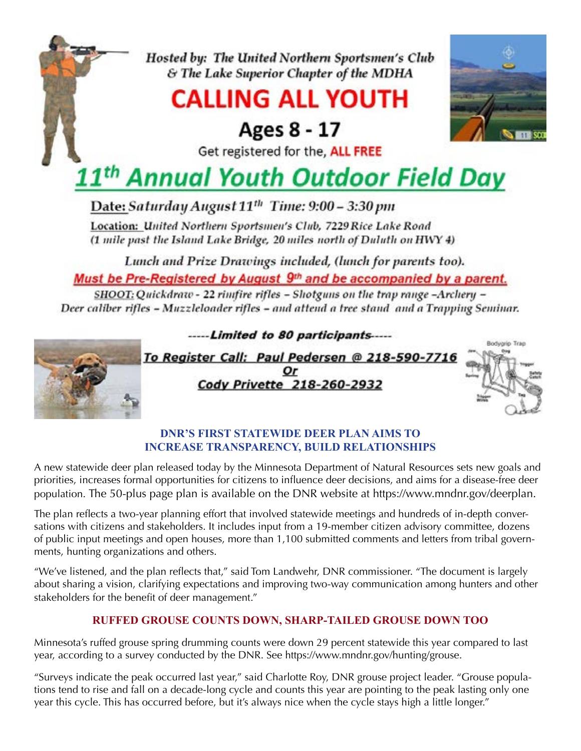Hosted by: The United Northern Sportsmen's Club & The Lake Superior Chapter of the MDHA

# **CALLING ALL YOUTH**

Ages 8 - 17



Get registered for the, ALL FREE

# 1<sup>th</sup> Annual Youth Outdoor Field Day

Date: Saturday August 11<sup>th</sup> Time: 9:00 - 3:30 pm

Location: United Northern Sportsmen's Club, 7229 Rice Lake Road (1 mile past the Island Lake Bridge, 20 miles north of Duluth on HWY 4)

Lunch and Prize Drawings included, (lunch for parents too).

Must be Pre-Registered by August 9<sup>th</sup> and be accompanied by a parent.

SHOOT: Quickdraw - 22 rimfire rifles - Shotguns on the trap range -Archery -Deer caliber rifles - Muzzleloader rifles - and attend a tree stand and a Trapping Seminar.



# **DNR's first statewide deer plan aims to increase transparency, build relationships**

A new statewide deer plan released today by the Minnesota Department of Natural Resources sets new goals and priorities, increases formal opportunities for citizens to influence deer decisions, and aims for a disease-free deer population. The 50-plus page plan is available on the DNR website at https://www.mndnr.gov/deerplan.

The plan reflects a two-year planning effort that involved statewide meetings and hundreds of in-depth conversations with citizens and stakeholders. It includes input from a 19-member citizen advisory committee, dozens of public input meetings and open houses, more than 1,100 submitted comments and letters from tribal governments, hunting organizations and others.

"We've listened, and the plan reflects that," said Tom Landwehr, DNR commissioner. "The document is largely about sharing a vision, clarifying expectations and improving two-way communication among hunters and other stakeholders for the benefit of deer management."

# **Ruffed grouse counts down, sharp-tailed grouse down too**

Minnesota's ruffed grouse spring drumming counts were down 29 percent statewide this year compared to last year, according to a survey conducted by the DNR. See https://www.mndnr.gov/hunting/grouse.

"Surveys indicate the peak occurred last year," said Charlotte Roy, DNR grouse project leader. "Grouse populations tend to rise and fall on a decade-long cycle and counts this year are pointing to the peak lasting only one year this cycle. This has occurred before, but it's always nice when the cycle stays high a little longer."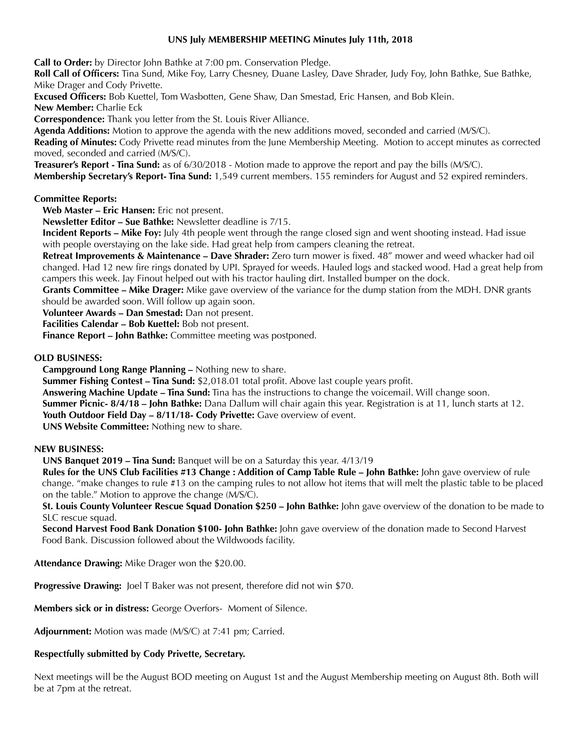#### **UNS July MEMBERSHIP MEETING Minutes July 11th, 2018**

**Call to Order:** by Director John Bathke at 7:00 pm. Conservation Pledge.

**Roll Call of Officers:** Tina Sund, Mike Foy, Larry Chesney, Duane Lasley, Dave Shrader, Judy Foy, John Bathke, Sue Bathke, Mike Drager and Cody Privette.

**Excused Officers:** Bob Kuettel, Tom Wasbotten, Gene Shaw, Dan Smestad, Eric Hansen, and Bob Klein.

**New Member:** Charlie Eck

**Correspondence:** Thank you letter from the St. Louis River Alliance.

**Agenda Additions:** Motion to approve the agenda with the new additions moved, seconded and carried (M/S/C).

**Reading of Minutes:** Cody Privette read minutes from the June Membership Meeting. Motion to accept minutes as corrected moved, seconded and carried (M/S/C).

**Treasurer's Report - Tina Sund:** as of 6/30/2018 - Motion made to approve the report and pay the bills (M/S/C).

**Membership Secretary's Report- Tina Sund:** 1,549 current members. 155 reminders for August and 52 expired reminders.

#### **Committee Reports:**

**Web Master – Eric Hansen:** Eric not present.

**Newsletter Editor – Sue Bathke:** Newsletter deadline is 7/15.

**Incident Reports – Mike Foy:** July 4th people went through the range closed sign and went shooting instead. Had issue with people overstaying on the lake side. Had great help from campers cleaning the retreat.

**Retreat Improvements & Maintenance – Dave Shrader:** Zero turn mower is fixed. 48" mower and weed whacker had oil changed. Had 12 new fire rings donated by UPI. Sprayed for weeds. Hauled logs and stacked wood. Had a great help from campers this week. Jay Finout helped out with his tractor hauling dirt. Installed bumper on the dock.

**Grants Committee – Mike Drager:** Mike gave overview of the variance for the dump station from the MDH. DNR grants should be awarded soon. Will follow up again soon.

**Volunteer Awards – Dan Smestad:** Dan not present.

**Facilities Calendar – Bob Kuettel:** Bob not present.

**Finance Report – John Bathke:** Committee meeting was postponed.

#### **OLD BUSINESS:**

**Campground Long Range Planning –** Nothing new to share.

**Summer Fishing Contest – Tina Sund:** \$2,018.01 total profit. Above last couple years profit.

**Answering Machine Update – Tina Sund:** Tina has the instructions to change the voicemail. Will change soon.

**Summer Picnic- 8/4/18 – John Bathke:** Dana Dallum will chair again this year. Registration is at 11, lunch starts at 12.

**Youth Outdoor Field Day - 8/11/18- Cody Privette:** Gave overview of event.

**UNS Website Committee:** Nothing new to share.

#### **NEW BUSINESS:**

**UNS Banquet 2019 – Tina Sund:** Banquet will be on a Saturday this year. 4/13/19

**Rules for the UNS Club Facilities #13 Change : Addition of Camp Table Rule – John Bathke:** John gave overview of rule change. "make changes to rule #13 on the camping rules to not allow hot items that will melt the plastic table to be placed on the table." Motion to approve the change (M/S/C).

**St. Louis County Volunteer Rescue Squad Donation \$250 – John Bathke:** John gave overview of the donation to be made to SLC rescue squad.

**Second Harvest Food Bank Donation \$100- John Bathke:** John gave overview of the donation made to Second Harvest Food Bank. Discussion followed about the Wildwoods facility.

**Attendance Drawing:** Mike Drager won the \$20.00.

**Progressive Drawing:** Joel T Baker was not present, therefore did not win \$70.

**Members sick or in distress:** George Overfors- Moment of Silence.

**Adjournment:** Motion was made (M/S/C) at 7:41 pm; Carried.

### **Respectfully submitted by Cody Privette, Secretary.**

Next meetings will be the August BOD meeting on August 1st and the August Membership meeting on August 8th. Both will be at 7pm at the retreat.